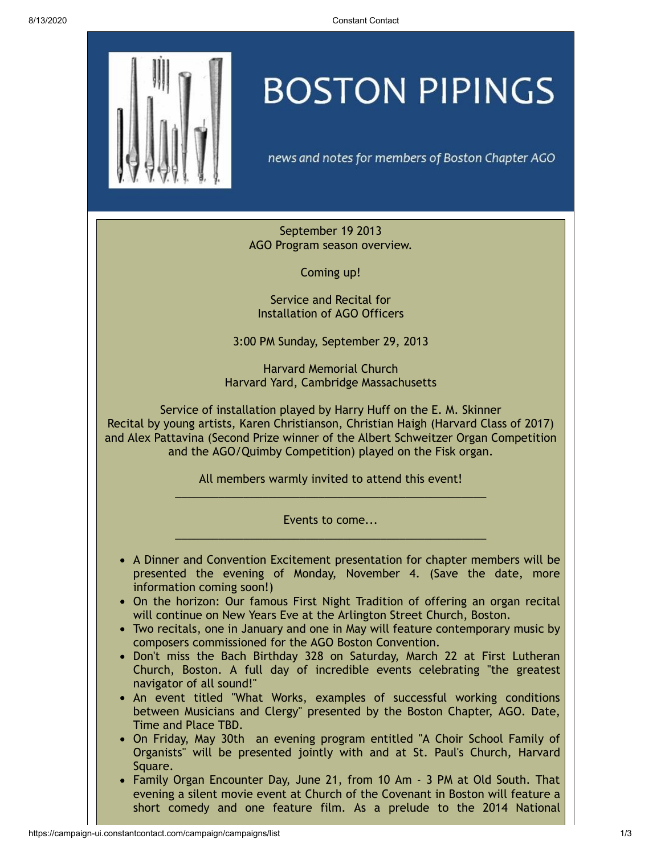

## **BOSTON PIPINGS**

news and notes for members of Boston Chapter AGO

September 19 2013 AGO Program season overview.

Coming up!

Service and Recital for Installation of AGO Officers

3:00 PM Sunday, September 29, 2013

Harvard Memorial Church Harvard Yard, Cambridge Massachusetts

Service of installation played by Harry Huff on the E. M. Skinner Recital by young artists, Karen Christianson, Christian Haigh (Harvard Class of 2017) and Alex Pattavina (Second Prize winner of the Albert Schweitzer Organ Competition and the AGO/Quimby Competition) played on the Fisk organ.

> All members warmly invited to attend this event!  $\_$  , and the set of the set of the set of the set of the set of the set of the set of the set of the set of the set of the set of the set of the set of the set of the set of the set of the set of the set of the set of th

> Events to come...  $\_$  , and the set of the set of the set of the set of the set of the set of the set of the set of the set of the set of the set of the set of the set of the set of the set of the set of the set of the set of the set of th

- A Dinner and Convention Excitement presentation for chapter members will be presented the evening of Monday, November 4. (Save the date, more information coming soon!)
- On the horizon: Our famous First Night Tradition of offering an organ recital will continue on New Years Eve at the Arlington Street Church, Boston.
- Two recitals, one in January and one in May will feature contemporary music by composers commissioned for the AGO Boston Convention.
- Don't miss the Bach Birthday 328 on Saturday, March 22 at First Lutheran Church, Boston. A full day of incredible events celebrating "the greatest navigator of all sound!"
- An event titled "What Works, examples of successful working conditions between Musicians and Clergy" presented by the Boston Chapter, AGO. Date, Time and Place TBD.
- On Friday, May 30th an evening program entitled "A Choir School Family of Organists" will be presented jointly with and at St. Paul's Church, Harvard Square.
- Family Organ Encounter Day, June 21, from 10 Am 3 PM at Old South. That evening a silent movie event at Church of the Covenant in Boston will feature a short comedy and one feature film. As a prelude to the 2014 National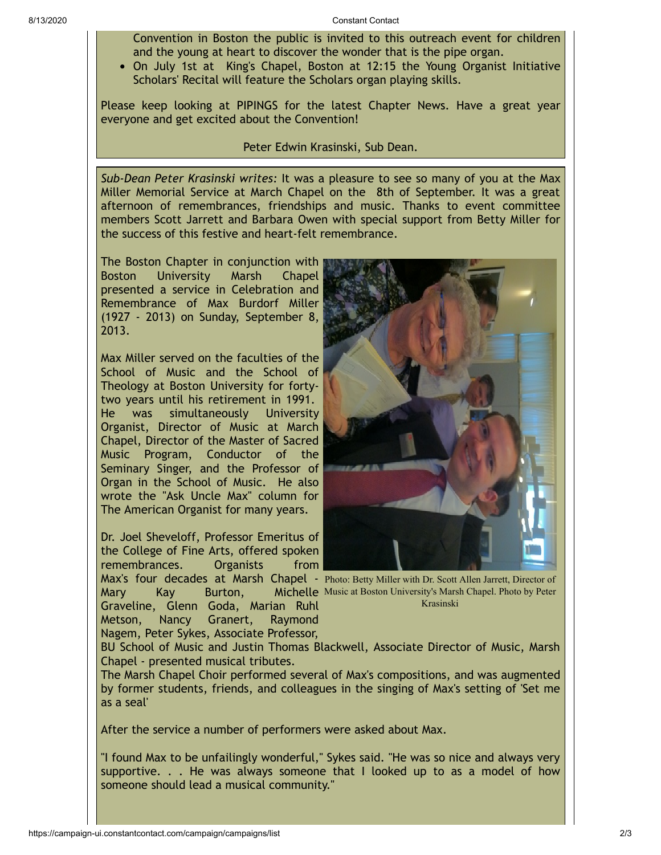Convention in Boston the public is invited to this outreach event for children and the young at heart to discover the wonder that is the pipe organ.

On July 1st at King's Chapel, Boston at 12:15 the Young Organist Initiative Scholars' Recital will feature the Scholars organ playing skills.

Please keep looking at PIPINGS for the latest Chapter News. Have a great year everyone and get excited about the Convention!

## Peter Edwin Krasinski, Sub Dean.

*Sub-Dean Peter Krasinski writes:* It was a pleasure to see so many of you at the Max Miller Memorial Service at March Chapel on the 8th of September. It was a great afternoon of remembrances, friendships and music. Thanks to event committee members Scott Jarrett and Barbara Owen with special support from Betty Miller for the success of this festive and heart-felt remembrance.

The Boston Chapter in conjunction with Boston University Marsh Chapel presented a service in Celebration and Remembrance of Max Burdorf Miller (1927 - 2013) on Sunday, September 8, 2013.

Max Miller served on the faculties of the School of Music and the School of Theology at Boston University for fortytwo years until his retirement in 1991. He was simultaneously University Organist, Director of Music at March Chapel, Director of the Master of Sacred Music Program, Conductor of the Seminary Singer, and the Professor of Organ in the School of Music. He also wrote the "Ask Uncle Max" column for The American Organist for many years.

Dr. Joel Sheveloff, Professor Emeritus of the College of Fine Arts, offered spoken remembrances. Organists from

Graveline, Glenn Goda, Marian Ruhl Metson, Nancy Granert, Raymond Nagem, Peter Sykes, Associate Professor,



Max's four decades at Marsh Chapel - Photo: Betty Miller with Dr. Scott Allen Jarrett, Director of Mary Kay Burton, Michelle Music at Boston University's Marsh Chapel. Photo by Peter Krasinski

BU School of Music and Justin Thomas Blackwell, Associate Director of Music, Marsh Chapel - presented musical tributes.

The Marsh Chapel Choir performed several of Max's compositions, and was augmented by former students, friends, and colleagues in the singing of Max's setting of 'Set me as a seal'

After the service a number of performers were asked about Max.

"I found Max to be unfailingly wonderful," Sykes said. "He was so nice and always very supportive. . . He was always someone that I looked up to as a model of how someone should lead a musical community."